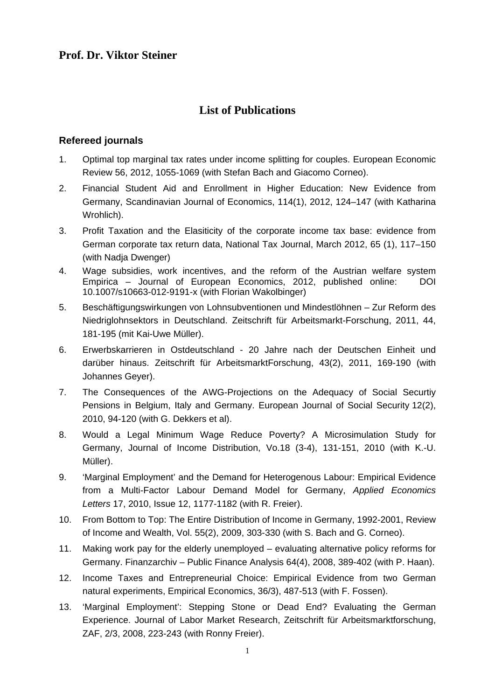# **Prof. Dr. Viktor Steiner**

# **List of Publications**

#### **Refereed journals**

- 1. Optimal top marginal tax rates under income splitting for couples. European Economic Review 56, 2012, 1055-1069 (with Stefan Bach and Giacomo Corneo).
- 2. Financial Student Aid and Enrollment in Higher Education: New Evidence from Germany, Scandinavian Journal of Economics, 114(1), 2012, 124–147 (with Katharina Wrohlich).
- 3. Profit Taxation and the Elasiticity of the corporate income tax base: evidence from German corporate tax return data, National Tax Journal, March 2012, 65 (1), 117–150 (with Nadja Dwenger)
- 4. Wage subsidies, work incentives, and the reform of the Austrian welfare system Empirica – Journal of European Economics, 2012, published online: DOI 10.1007/s10663-012-9191-x (with Florian Wakolbinger)
- 5. Beschäftigungswirkungen von Lohnsubventionen und Mindestlöhnen Zur Reform des Niedriglohnsektors in Deutschland. Zeitschrift für Arbeitsmarkt-Forschung, 2011, 44, 181-195 (mit Kai-Uwe Müller).
- 6. Erwerbskarrieren in Ostdeutschland 20 Jahre nach der Deutschen Einheit und darüber hinaus. Zeitschrift für ArbeitsmarktForschung, 43(2), 2011, 169-190 (with Johannes Geyer).
- 7. The Consequences of the AWG-Projections on the Adequacy of Social Securtiy Pensions in Belgium, Italy and Germany. European Journal of Social Security 12(2), 2010, 94-120 (with G. Dekkers et al).
- 8. Would a Legal Minimum Wage Reduce Poverty? A Microsimulation Study for Germany, Journal of Income Distribution, Vo.18 (3-4), 131-151, 2010 (with K.-U. Müller).
- 9. 'Marginal Employment' and the Demand for Heterogenous Labour: Empirical Evidence from a Multi-Factor Labour Demand Model for Germany, *Applied Economics Letters* 17, 2010, Issue 12, 1177-1182 (with R. Freier).
- 10. From Bottom to Top: The Entire Distribution of Income in Germany, 1992-2001, Review of Income and Wealth, Vol. 55(2), 2009, 303-330 (with S. Bach and G. Corneo).
- 11. Making work pay for the elderly unemployed evaluating alternative policy reforms for Germany. Finanzarchiv – Public Finance Analysis 64(4), 2008, 389-402 (with P. Haan).
- 12. Income Taxes and Entrepreneurial Choice: Empirical Evidence from two German natural experiments, Empirical Economics, 36/3), 487-513 (with F. Fossen).
- 13. 'Marginal Employment': Stepping Stone or Dead End? Evaluating the German Experience. Journal of Labor Market Research, Zeitschrift für Arbeitsmarktforschung, ZAF, 2/3, 2008, 223-243 (with Ronny Freier).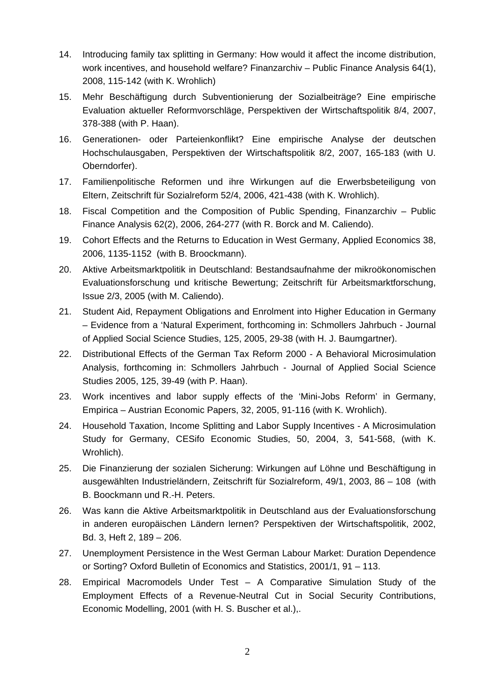- 14. Introducing family tax splitting in Germany: How would it affect the income distribution, work incentives, and household welfare? Finanzarchiv – Public Finance Analysis 64(1), 2008, 115-142 (with K. Wrohlich)
- 15. Mehr Beschäftigung durch Subventionierung der Sozialbeiträge? Eine empirische Evaluation aktueller Reformvorschläge, Perspektiven der Wirtschaftspolitik 8/4, 2007, 378-388 (with P. Haan).
- 16. Generationen- oder Parteienkonflikt? Eine empirische Analyse der deutschen Hochschulausgaben, Perspektiven der Wirtschaftspolitik 8/2, 2007, 165-183 (with U. Oberndorfer).
- 17. Familienpolitische Reformen und ihre Wirkungen auf die Erwerbsbeteiligung von Eltern, Zeitschrift für Sozialreform 52/4, 2006, 421-438 (with K. Wrohlich).
- 18. Fiscal Competition and the Composition of Public Spending, Finanzarchiv Public Finance Analysis 62(2), 2006, 264-277 (with R. Borck and M. Caliendo).
- 19. Cohort Effects and the Returns to Education in West Germany, Applied Economics 38, 2006, 1135-1152 (with B. Broockmann).
- 20. Aktive Arbeitsmarktpolitik in Deutschland: Bestandsaufnahme der mikroökonomischen Evaluationsforschung und kritische Bewertung; Zeitschrift für Arbeitsmarktforschung, Issue 2/3, 2005 (with M. Caliendo).
- 21. Student Aid, Repayment Obligations and Enrolment into Higher Education in Germany – Evidence from a 'Natural Experiment, forthcoming in: Schmollers Jahrbuch - Journal of Applied Social Science Studies, 125, 2005, 29-38 (with H. J. Baumgartner).
- 22. Distributional Effects of the German Tax Reform 2000 A Behavioral Microsimulation Analysis, forthcoming in: Schmollers Jahrbuch - Journal of Applied Social Science Studies 2005, 125, 39-49 (with P. Haan).
- 23. Work incentives and labor supply effects of the 'Mini-Jobs Reform' in Germany, Empirica – Austrian Economic Papers, 32, 2005, 91-116 (with K. Wrohlich).
- 24. Household Taxation, Income Splitting and Labor Supply Incentives A Microsimulation Study for Germany, CESifo Economic Studies, 50, 2004, 3, 541-568, (with K. Wrohlich).
- 25. Die Finanzierung der sozialen Sicherung: Wirkungen auf Löhne und Beschäftigung in ausgewählten Industrieländern, Zeitschrift für Sozialreform, 49/1, 2003, 86 – 108 (with B. Boockmann und R.-H. Peters.
- 26. Was kann die Aktive Arbeitsmarktpolitik in Deutschland aus der Evaluationsforschung in anderen europäischen Ländern lernen? Perspektiven der Wirtschaftspolitik, 2002, Bd. 3, Heft 2, 189 – 206.
- 27. Unemployment Persistence in the West German Labour Market: Duration Dependence or Sorting? Oxford Bulletin of Economics and Statistics, 2001/1, 91 – 113.
- 28. Empirical Macromodels Under Test A Comparative Simulation Study of the Employment Effects of a Revenue-Neutral Cut in Social Security Contributions, Economic Modelling, 2001 (with H. S. Buscher et al.),.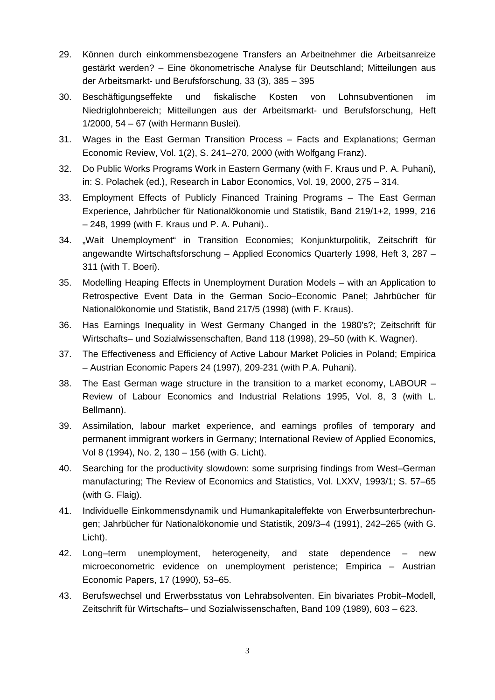- 29. Können durch einkommensbezogene Transfers an Arbeitnehmer die Arbeitsanreize gestärkt werden? – Eine ökonometrische Analyse für Deutschland; Mitteilungen aus der Arbeitsmarkt- und Berufsforschung, 33 (3), 385 – 395
- 30. Beschäftigungseffekte und fiskalische Kosten von Lohnsubventionen im Niedriglohnbereich; Mitteilungen aus der Arbeitsmarkt- und Berufsforschung, Heft 1/2000, 54 – 67 (with Hermann Buslei).
- 31. Wages in the East German Transition Process Facts and Explanations; German Economic Review, Vol. 1(2), S. 241–270, 2000 (with Wolfgang Franz).
- 32. Do Public Works Programs Work in Eastern Germany (with F. Kraus und P. A. Puhani), in: S. Polachek (ed.), Research in Labor Economics, Vol. 19, 2000, 275 – 314.
- 33. Employment Effects of Publicly Financed Training Programs The East German Experience, Jahrbücher für Nationalökonomie und Statistik, Band 219/1+2, 1999, 216 – 248, 1999 (with F. Kraus und P. A. Puhani)..
- 34. "Wait Unemployment" in Transition Economies; Konjunkturpolitik, Zeitschrift für angewandte Wirtschaftsforschung – Applied Economics Quarterly 1998, Heft 3, 287 – 311 (with T. Boeri).
- 35. Modelling Heaping Effects in Unemployment Duration Models with an Application to Retrospective Event Data in the German Socio–Economic Panel; Jahrbücher für Nationalökonomie und Statistik, Band 217/5 (1998) (with F. Kraus).
- 36. Has Earnings Inequality in West Germany Changed in the 1980's?; Zeitschrift für Wirtschafts– und Sozialwissenschaften, Band 118 (1998), 29–50 (with K. Wagner).
- 37. The Effectiveness and Efficiency of Active Labour Market Policies in Poland; Empirica – Austrian Economic Papers 24 (1997), 209-231 (with P.A. Puhani).
- 38. The East German wage structure in the transition to a market economy, LABOUR Review of Labour Economics and Industrial Relations 1995, Vol. 8, 3 (with L. Bellmann).
- 39. Assimilation, labour market experience, and earnings profiles of temporary and permanent immigrant workers in Germany; International Review of Applied Economics, Vol 8 (1994), No. 2, 130 – 156 (with G. Licht).
- 40. Searching for the productivity slowdown: some surprising findings from West–German manufacturing; The Review of Economics and Statistics, Vol. LXXV, 1993/1; S. 57–65 (with G. Flaig).
- 41. Individuelle Einkommensdynamik und Humankapitaleffekte von Erwerbsunterbrechungen; Jahrbücher für Nationalökonomie und Statistik, 209/3–4 (1991), 242–265 (with G. Licht).
- 42. Long–term unemployment, heterogeneity, and state dependence new microeconometric evidence on unemployment peristence; Empirica – Austrian Economic Papers, 17 (1990), 53–65.
- 43. Berufswechsel und Erwerbsstatus von Lehrabsolventen. Ein bivariates Probit–Modell, Zeitschrift für Wirtschafts– und Sozialwissenschaften, Band 109 (1989), 603 – 623.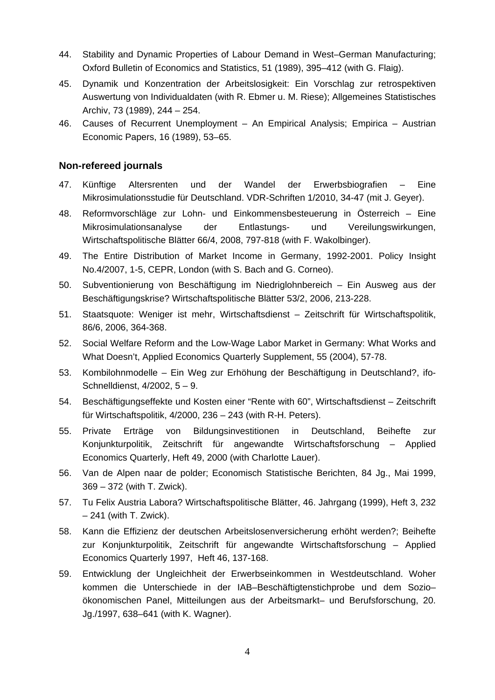- 44. Stability and Dynamic Properties of Labour Demand in West–German Manufacturing; Oxford Bulletin of Economics and Statistics, 51 (1989), 395–412 (with G. Flaig).
- 45. Dynamik und Konzentration der Arbeitslosigkeit: Ein Vorschlag zur retrospektiven Auswertung von Individualdaten (with R. Ebmer u. M. Riese); Allgemeines Statistisches Archiv, 73 (1989), 244 – 254.
- 46. Causes of Recurrent Unemployment An Empirical Analysis; Empirica Austrian Economic Papers, 16 (1989), 53–65.

#### **Non-refereed journals**

- 47. Künftige Altersrenten und der Wandel der Erwerbsbiografien Eine Mikrosimulationsstudie für Deutschland. VDR-Schriften 1/2010, 34-47 (mit J. Geyer).
- 48. Reformvorschläge zur Lohn- und Einkommensbesteuerung in Österreich Eine Mikrosimulationsanalyse der Entlastungs- und Vereilungswirkungen, Wirtschaftspolitische Blätter 66/4, 2008, 797-818 (with F. Wakolbinger).
- 49. The Entire Distribution of Market Income in Germany, 1992-2001. Policy Insight No.4/2007, 1-5, CEPR, London (with S. Bach and G. Corneo).
- 50. Subventionierung von Beschäftigung im Niedriglohnbereich Ein Ausweg aus der Beschäftigungskrise? Wirtschaftspolitische Blätter 53/2, 2006, 213-228.
- 51. Staatsquote: Weniger ist mehr, Wirtschaftsdienst Zeitschrift für Wirtschaftspolitik, 86/6, 2006, 364-368.
- 52. Social Welfare Reform and the Low-Wage Labor Market in Germany: What Works and What Doesn't, Applied Economics Quarterly Supplement, 55 (2004), 57-78.
- 53. Kombilohnmodelle Ein Weg zur Erhöhung der Beschäftigung in Deutschland?, ifo-Schnelldienst, 4/2002, 5 – 9.
- 54. Beschäftigungseffekte und Kosten einer "Rente with 60", Wirtschaftsdienst Zeitschrift für Wirtschaftspolitik, 4/2000, 236 – 243 (with R-H. Peters).
- 55. Private Erträge von Bildungsinvestitionen in Deutschland, Beihefte zur Konjunkturpolitik, Zeitschrift für angewandte Wirtschaftsforschung – Applied Economics Quarterly, Heft 49, 2000 (with Charlotte Lauer).
- 56. Van de Alpen naar de polder; Economisch Statistische Berichten, 84 Jg., Mai 1999, 369 – 372 (with T. Zwick).
- 57. Tu Felix Austria Labora? Wirtschaftspolitische Blätter, 46. Jahrgang (1999), Heft 3, 232 – 241 (with T. Zwick).
- 58. Kann die Effizienz der deutschen Arbeitslosenversicherung erhöht werden?; Beihefte zur Konjunkturpolitik, Zeitschrift für angewandte Wirtschaftsforschung – Applied Economics Quarterly 1997, Heft 46, 137-168.
- 59. Entwicklung der Ungleichheit der Erwerbseinkommen in Westdeutschland. Woher kommen die Unterschiede in der IAB–Beschäftigtenstichprobe und dem Sozio– ökonomischen Panel, Mitteilungen aus der Arbeitsmarkt– und Berufsforschung, 20. Jg./1997, 638–641 (with K. Wagner).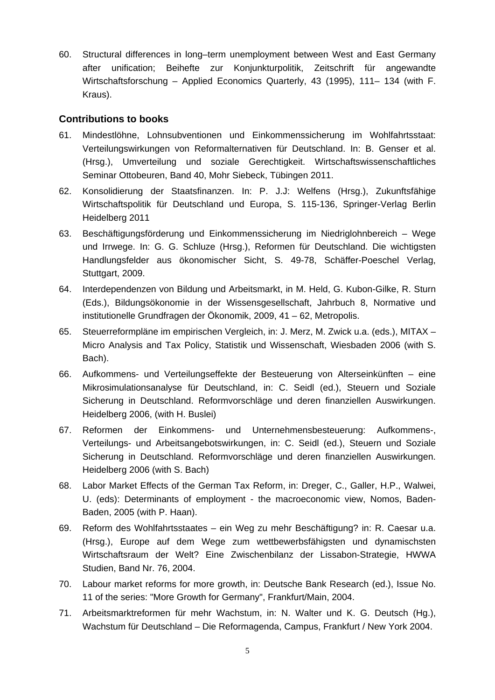60. Structural differences in long–term unemployment between West and East Germany after unification; Beihefte zur Konjunkturpolitik, Zeitschrift für angewandte Wirtschaftsforschung – Applied Economics Quarterly, 43 (1995), 111– 134 (with F. Kraus).

### **Contributions to books**

- 61. Mindestlöhne, Lohnsubventionen und Einkommenssicherung im Wohlfahrtsstaat: Verteilungswirkungen von Reformalternativen für Deutschland. In: B. Genser et al. (Hrsg.), Umverteilung und soziale Gerechtigkeit. Wirtschaftswissenschaftliches Seminar Ottobeuren, Band 40, Mohr Siebeck, Tübingen 2011.
- 62. Konsolidierung der Staatsfinanzen. In: P. J.J: Welfens (Hrsg.), Zukunftsfähige Wirtschaftspolitik für Deutschland und Europa, S. 115-136, Springer-Verlag Berlin Heidelberg 2011
- 63. Beschäftigungsförderung und Einkommenssicherung im Niedriglohnbereich Wege und Irrwege. In: G. G. Schluze (Hrsg.), Reformen für Deutschland. Die wichtigsten Handlungsfelder aus ökonomischer Sicht, S. 49-78, Schäffer-Poeschel Verlag, Stuttgart, 2009.
- 64. Interdependenzen von Bildung und Arbeitsmarkt, in M. Held, G. Kubon-Gilke, R. Sturn (Eds.), Bildungsökonomie in der Wissensgesellschaft, Jahrbuch 8, Normative und institutionelle Grundfragen der Ökonomik, 2009, 41 – 62, Metropolis.
- 65. Steuerreformpläne im empirischen Vergleich, in: J. Merz, M. Zwick u.a. (eds.), MITAX Micro Analysis and Tax Policy, Statistik und Wissenschaft, Wiesbaden 2006 (with S. Bach).
- 66. Aufkommens- und Verteilungseffekte der Besteuerung von Alterseinkünften eine Mikrosimulationsanalyse für Deutschland, in: C. Seidl (ed.), Steuern und Soziale Sicherung in Deutschland. Reformvorschläge und deren finanziellen Auswirkungen. Heidelberg 2006, (with H. Buslei)
- 67. Reformen der Einkommens- und Unternehmensbesteuerung: Aufkommens-, Verteilungs- und Arbeitsangebotswirkungen, in: C. Seidl (ed.), Steuern und Soziale Sicherung in Deutschland. Reformvorschläge und deren finanziellen Auswirkungen. Heidelberg 2006 (with S. Bach)
- 68. Labor Market Effects of the German Tax Reform, in: Dreger, C., Galler, H.P., Walwei, U. (eds): Determinants of employment - the macroeconomic view, Nomos, Baden-Baden, 2005 (with P. Haan).
- 69. Reform des Wohlfahrtsstaates ein Weg zu mehr Beschäftigung? in: R. Caesar u.a. (Hrsg.), Europe auf dem Wege zum wettbewerbsfähigsten und dynamischsten Wirtschaftsraum der Welt? Eine Zwischenbilanz der Lissabon-Strategie, HWWA Studien, Band Nr. 76, 2004.
- 70. Labour market reforms for more growth, in: Deutsche Bank Research (ed.), Issue No. 11 of the series: "More Growth for Germany", Frankfurt/Main, 2004.
- 71. Arbeitsmarktreformen für mehr Wachstum, in: N. Walter und K. G. Deutsch (Hg.), Wachstum für Deutschland – Die Reformagenda, Campus, Frankfurt / New York 2004.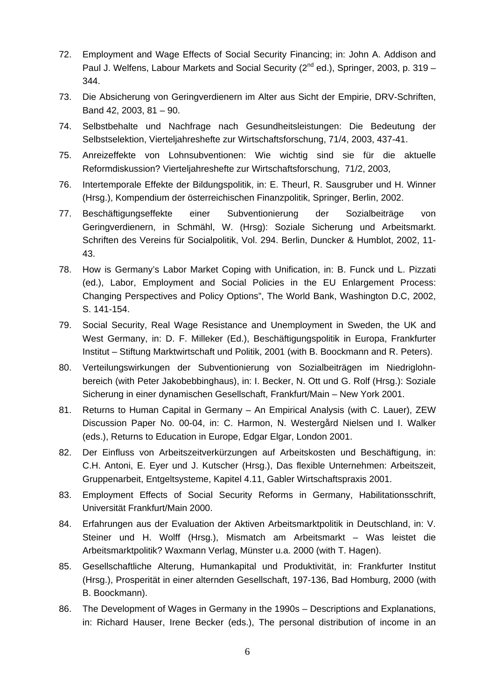- 72. Employment and Wage Effects of Social Security Financing; in: John A. Addison and Paul J. Welfens, Labour Markets and Social Security (2<sup>nd</sup> ed.), Springer, 2003, p. 319 – 344.
- 73. Die Absicherung von Geringverdienern im Alter aus Sicht der Empirie, DRV-Schriften, Band 42, 2003, 81 – 90.
- 74. Selbstbehalte und Nachfrage nach Gesundheitsleistungen: Die Bedeutung der Selbstselektion, Vierteljahreshefte zur Wirtschaftsforschung, 71/4, 2003, 437-41.
- 75. Anreizeffekte von Lohnsubventionen: Wie wichtig sind sie für die aktuelle Reformdiskussion? Vierteljahreshefte zur Wirtschaftsforschung, 71/2, 2003,
- 76. Intertemporale Effekte der Bildungspolitik, in: E. Theurl, R. Sausgruber und H. Winner (Hrsg.), Kompendium der österreichischen Finanzpolitik, Springer, Berlin, 2002.
- 77. Beschäftigungseffekte einer Subventionierung der Sozialbeiträge von Geringverdienern, in Schmähl, W. (Hrsg): Soziale Sicherung und Arbeitsmarkt. Schriften des Vereins für Socialpolitik, Vol. 294. Berlin, Duncker & Humblot, 2002, 11- 43.
- 78. How is Germany's Labor Market Coping with Unification, in: B. Funck und L. Pizzati (ed.), Labor, Employment and Social Policies in the EU Enlargement Process: Changing Perspectives and Policy Options", The World Bank, Washington D.C, 2002, S. 141-154.
- 79. Social Security, Real Wage Resistance and Unemployment in Sweden, the UK and West Germany, in: D. F. Milleker (Ed.), Beschäftigungspolitik in Europa, Frankfurter Institut – Stiftung Marktwirtschaft und Politik, 2001 (with B. Boockmann and R. Peters).
- 80. Verteilungswirkungen der Subventionierung von Sozialbeiträgen im Niedriglohnbereich (with Peter Jakobebbinghaus), in: I. Becker, N. Ott und G. Rolf (Hrsg.): Soziale Sicherung in einer dynamischen Gesellschaft, Frankfurt/Main – New York 2001.
- 81. Returns to Human Capital in Germany An Empirical Analysis (with C. Lauer), ZEW Discussion Paper No. 00-04, in: C. Harmon, N. Westergård Nielsen und I. Walker (eds.), Returns to Education in Europe, Edgar Elgar, London 2001.
- 82. Der Einfluss von Arbeitszeitverkürzungen auf Arbeitskosten und Beschäftigung, in: C.H. Antoni, E. Eyer und J. Kutscher (Hrsg.), Das flexible Unternehmen: Arbeitszeit, Gruppenarbeit, Entgeltsysteme, Kapitel 4.11, Gabler Wirtschaftspraxis 2001.
- 83. Employment Effects of Social Security Reforms in Germany, Habilitationsschrift, Universität Frankfurt/Main 2000.
- 84. Erfahrungen aus der Evaluation der Aktiven Arbeitsmarktpolitik in Deutschland, in: V. Steiner und H. Wolff (Hrsg.), Mismatch am Arbeitsmarkt – Was leistet die Arbeitsmarktpolitik? Waxmann Verlag, Münster u.a. 2000 (with T. Hagen).
- 85. Gesellschaftliche Alterung, Humankapital und Produktivität, in: Frankfurter Institut (Hrsg.), Prosperität in einer alternden Gesellschaft, 197-136, Bad Homburg, 2000 (with B. Boockmann).
- 86. The Development of Wages in Germany in the 1990s Descriptions and Explanations, in: Richard Hauser, Irene Becker (eds.), The personal distribution of income in an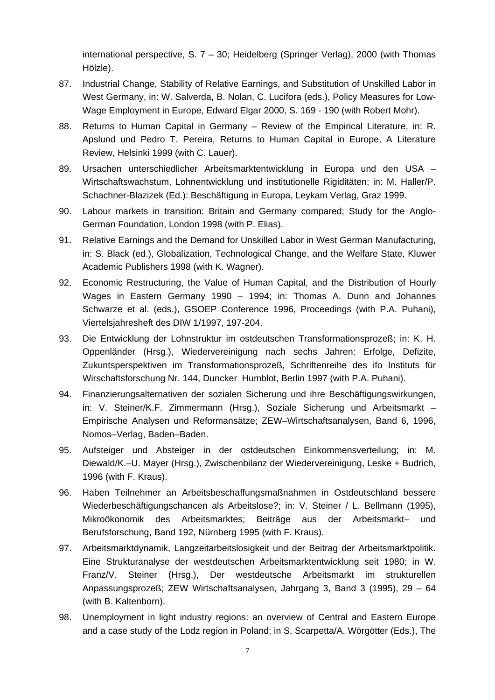international perspective, S. 7 – 30; Heidelberg (Springer Verlag), 2000 (with Thomas Hölzle).

- 87. Industrial Change, Stability of Relative Earnings, and Substitution of Unskilled Labor in West Germany, in: W. Salverda, B. Nolan, C. Lucifora (eds.), Policy Measures for Low-Wage Employment in Europe, Edward Elgar 2000, S. 169 - 190 (with Robert Mohr).
- 88. Returns to Human Capital in Germany Review of the Empirical Literature, in: R. Apslund und Pedro T. Pereira, Returns to Human Capital in Europe, A Literature Review, Helsinki 1999 (with C. Lauer).
- 89. Ursachen unterschiedlicher Arbeitsmarktentwicklung in Europa und den USA Wirtschaftswachstum, Lohnentwicklung und institutionelle Rigiditäten; in: M. Haller/P. Schachner-Blazizek (Ed.): Beschäftigung in Europa, Leykam Verlag, Graz 1999.
- 90. Labour markets in transition: Britain and Germany compared; Study for the Anglo-German Foundation, London 1998 (with P. Elias).
- 91. Relative Earnings and the Demand for Unskilled Labor in West German Manufacturing, in: S. Black (ed.), Globalization, Technological Change, and the Welfare State, Kluwer Academic Publishers 1998 (with K. Wagner).
- 92. Economic Restructuring, the Value of Human Capital, and the Distribution of Hourly Wages in Eastern Germany 1990 – 1994; in: Thomas A. Dunn and Johannes Schwarze et al. (eds.), GSOEP Conference 1996, Proceedings (with P.A. Puhani), Viertelsjahresheft des DIW 1/1997, 197-204.
- 93. Die Entwicklung der Lohnstruktur im ostdeutschen Transformationsprozeß; in: K. H. Oppenländer (Hrsg.), Wiedervereinigung nach sechs Jahren: Erfolge, Defizite, Zukuntsperspektiven im Transformationsprozeß, Schriftenreihe des ifo Instituts für Wirschaftsforschung Nr. 144, Duncker Humblot, Berlin 1997 (with P.A. Puhani).
- 94. Finanzierungsalternativen der sozialen Sicherung und ihre Beschäftigungswirkungen, in: V. Steiner/K.F. Zimmermann (Hrsg.), Soziale Sicherung und Arbeitsmarkt – Empirische Analysen und Reformansätze; ZEW–Wirtschaftsanalysen, Band 6, 1996, Nomos–Verlag, Baden–Baden.
- 95. Aufsteiger und Absteiger in der ostdeutschen Einkommensverteilung; in: M. Diewald/K.–U. Mayer (Hrsg.), Zwischenbilanz der Wiedervereinigung, Leske + Budrich, 1996 (with F. Kraus).
- 96. Haben Teilnehmer an Arbeitsbeschaffungsmaßnahmen in Ostdeutschland bessere Wiederbeschäftigungschancen als Arbeitslose?; in: V. Steiner / L. Bellmann (1995), Mikroökonomik des Arbeitsmarktes; Beiträge aus der Arbeitsmarkt– und Berufsforschung, Band 192, Nürnberg 1995 (with F. Kraus).
- 97. Arbeitsmarktdynamik, Langzeitarbeitslosigkeit und der Beitrag der Arbeitsmarktpolitik. Eine Strukturanalyse der westdeutschen Arbeitsmarktentwicklung seit 1980; in W. Franz/V. Steiner (Hrsg.), Der westdeutsche Arbeitsmarkt im strukturellen Anpassungsprozeß; ZEW Wirtschaftsanalysen, Jahrgang 3, Band 3 (1995), 29 – 64 (with B. Kaltenborn).
- 98. Unemployment in light industry regions: an overview of Central and Eastern Europe and a case study of the Lodz region in Poland; in S. Scarpetta/A. Wörgötter (Eds.), The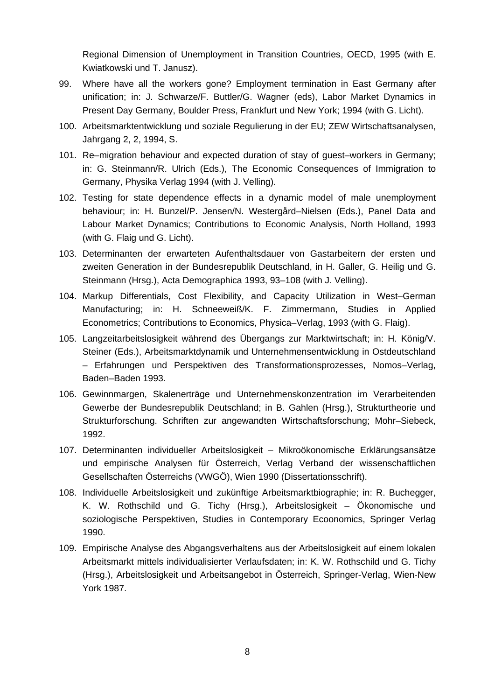Regional Dimension of Unemployment in Transition Countries, OECD, 1995 (with E. Kwiatkowski und T. Janusz).

- 99. Where have all the workers gone? Employment termination in East Germany after unification; in: J. Schwarze/F. Buttler/G. Wagner (eds), Labor Market Dynamics in Present Day Germany, Boulder Press, Frankfurt und New York; 1994 (with G. Licht).
- 100. Arbeitsmarktentwicklung und soziale Regulierung in der EU; ZEW Wirtschaftsanalysen, Jahrgang 2, 2, 1994, S.
- 101. Re–migration behaviour and expected duration of stay of guest–workers in Germany; in: G. Steinmann/R. Ulrich (Eds.), The Economic Consequences of Immigration to Germany, Physika Verlag 1994 (with J. Velling).
- 102. Testing for state dependence effects in a dynamic model of male unemployment behaviour; in: H. Bunzel/P. Jensen/N. Westergård–Nielsen (Eds.), Panel Data and Labour Market Dynamics; Contributions to Economic Analysis, North Holland, 1993 (with G. Flaig und G. Licht).
- 103. Determinanten der erwarteten Aufenthaltsdauer von Gastarbeitern der ersten und zweiten Generation in der Bundesrepublik Deutschland, in H. Galler, G. Heilig und G. Steinmann (Hrsg.), Acta Demographica 1993, 93–108 (with J. Velling).
- 104. Markup Differentials, Cost Flexibility, and Capacity Utilization in West–German Manufacturing; in: H. Schneeweiß/K. F. Zimmermann, Studies in Applied Econometrics; Contributions to Economics, Physica–Verlag, 1993 (with G. Flaig).
- 105. Langzeitarbeitslosigkeit während des Übergangs zur Marktwirtschaft; in: H. König/V. Steiner (Eds.), Arbeitsmarktdynamik und Unternehmensentwicklung in Ostdeutschland – Erfahrungen und Perspektiven des Transformationsprozesses, Nomos–Verlag, Baden–Baden 1993.
- 106. Gewinnmargen, Skalenerträge und Unternehmenskonzentration im Verarbeitenden Gewerbe der Bundesrepublik Deutschland; in B. Gahlen (Hrsg.), Strukturtheorie und Strukturforschung. Schriften zur angewandten Wirtschaftsforschung; Mohr–Siebeck, 1992.
- 107. Determinanten individueller Arbeitslosigkeit Mikroökonomische Erklärungsansätze und empirische Analysen für Österreich, Verlag Verband der wissenschaftlichen Gesellschaften Österreichs (VWGÖ), Wien 1990 (Dissertationsschrift).
- 108. Individuelle Arbeitslosigkeit und zukünftige Arbeitsmarktbiographie; in: R. Buchegger, K. W. Rothschild und G. Tichy (Hrsg.), Arbeitslosigkeit – Ökonomische und soziologische Perspektiven, Studies in Contemporary Ecoonomics, Springer Verlag 1990.
- 109. Empirische Analyse des Abgangsverhaltens aus der Arbeitslosigkeit auf einem lokalen Arbeitsmarkt mittels individualisierter Verlaufsdaten; in: K. W. Rothschild und G. Tichy (Hrsg.), Arbeitslosigkeit und Arbeitsangebot in Österreich, Springer-Verlag, Wien-New York 1987.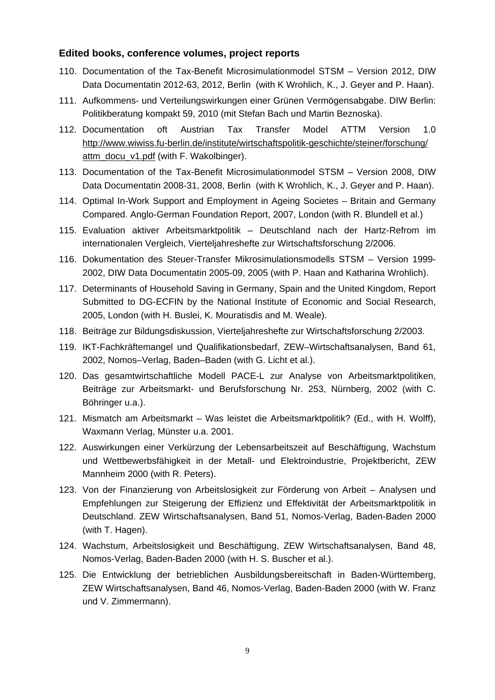### **Edited books, conference volumes, project reports**

- 110. Documentation of the Tax-Benefit Microsimulationmodel STSM Version 2012, DIW Data Documentatin 2012-63, 2012, Berlin (with K Wrohlich, K., J. Geyer and P. Haan).
- 111. Aufkommens- und Verteilungswirkungen einer Grünen Vermögensabgabe. DIW Berlin: Politikberatung kompakt 59, 2010 (mit Stefan Bach und Martin Beznoska).
- 112. Documentation oft Austrian Tax Transfer Model ATTM Version 1.0 http://www.wiwiss.fu-berlin.de/institute/wirtschaftspolitik-geschichte/steiner/forschung/ attm\_docu\_v1.pdf (with F. Wakolbinger).
- 113. Documentation of the Tax-Benefit Microsimulationmodel STSM Version 2008, DIW Data Documentatin 2008-31, 2008, Berlin (with K Wrohlich, K., J. Geyer and P. Haan).
- 114. Optimal In-Work Support and Employment in Ageing Societes Britain and Germany Compared. Anglo-German Foundation Report, 2007, London (with R. Blundell et al.)
- 115. Evaluation aktiver Arbeitsmarktpolitik Deutschland nach der Hartz-Refrom im internationalen Vergleich, Vierteljahreshefte zur Wirtschaftsforschung 2/2006.
- 116. Dokumentation des Steuer-Transfer Mikrosimulationsmodells STSM Version 1999- 2002, DIW Data Documentatin 2005-09, 2005 (with P. Haan and Katharina Wrohlich).
- 117. Determinants of Household Saving in Germany, Spain and the United Kingdom, Report Submitted to DG-ECFIN by the National Institute of Economic and Social Research, 2005, London (with H. Buslei, K. Mouratisdis and M. Weale).
- 118. Beiträge zur Bildungsdiskussion, Vierteljahreshefte zur Wirtschaftsforschung 2/2003.
- 119. IKT-Fachkräftemangel und Qualifikationsbedarf, ZEW–Wirtschaftsanalysen, Band 61, 2002, Nomos–Verlag, Baden–Baden (with G. Licht et al.).
- 120. Das gesamtwirtschaftliche Modell PACE-L zur Analyse von Arbeitsmarktpolitiken, Beiträge zur Arbeitsmarkt- und Berufsforschung Nr. 253, Nürnberg, 2002 (with C. Böhringer u.a.).
- 121. Mismatch am Arbeitsmarkt Was leistet die Arbeitsmarktpolitik? (Ed., with H. Wolff), Waxmann Verlag, Münster u.a. 2001.
- 122. Auswirkungen einer Verkürzung der Lebensarbeitszeit auf Beschäftigung, Wachstum und Wettbewerbsfähigkeit in der Metall- und Elektroindustrie, Projektbericht, ZEW Mannheim 2000 (with R. Peters).
- 123. Von der Finanzierung von Arbeitslosigkeit zur Förderung von Arbeit Analysen und Empfehlungen zur Steigerung der Effizienz und Effektivität der Arbeitsmarktpolitik in Deutschland. ZEW Wirtschaftsanalysen, Band 51, Nomos-Verlag, Baden-Baden 2000 (with T. Hagen).
- 124. Wachstum, Arbeitslosigkeit und Beschäftigung, ZEW Wirtschaftsanalysen, Band 48, Nomos-Verlag, Baden-Baden 2000 (with H. S. Buscher et al.).
- 125. Die Entwicklung der betrieblichen Ausbildungsbereitschaft in Baden-Württemberg, ZEW Wirtschaftsanalysen, Band 46, Nomos-Verlag, Baden-Baden 2000 (with W. Franz und V. Zimmermann).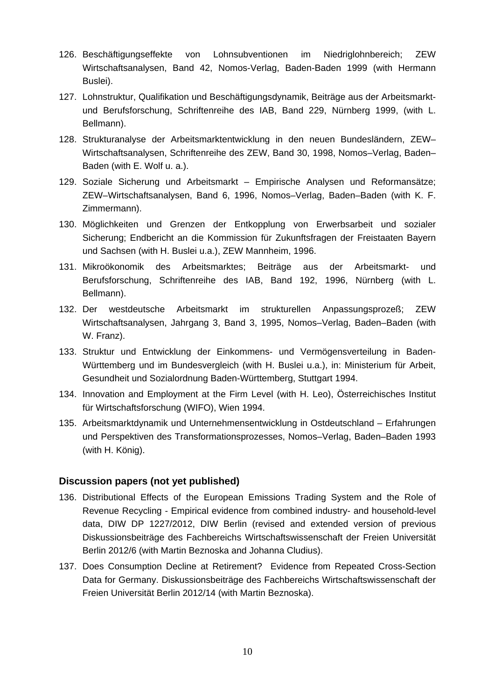- 126. Beschäftigungseffekte von Lohnsubventionen im Niedriglohnbereich; ZEW Wirtschaftsanalysen, Band 42, Nomos-Verlag, Baden-Baden 1999 (with Hermann Buslei).
- 127. Lohnstruktur, Qualifikation und Beschäftigungsdynamik, Beiträge aus der Arbeitsmarktund Berufsforschung, Schriftenreihe des IAB, Band 229, Nürnberg 1999, (with L. Bellmann).
- 128. Strukturanalyse der Arbeitsmarktentwicklung in den neuen Bundesländern, ZEW– Wirtschaftsanalysen, Schriftenreihe des ZEW, Band 30, 1998, Nomos–Verlag, Baden– Baden (with E. Wolf u. a.).
- 129. Soziale Sicherung und Arbeitsmarkt Empirische Analysen und Reformansätze; ZEW–Wirtschaftsanalysen, Band 6, 1996, Nomos–Verlag, Baden–Baden (with K. F. Zimmermann).
- 130. Möglichkeiten und Grenzen der Entkopplung von Erwerbsarbeit und sozialer Sicherung; Endbericht an die Kommission für Zukunftsfragen der Freistaaten Bayern und Sachsen (with H. Buslei u.a.), ZEW Mannheim, 1996.
- 131. Mikroökonomik des Arbeitsmarktes; Beiträge aus der Arbeitsmarkt- und Berufsforschung, Schriftenreihe des IAB, Band 192, 1996, Nürnberg (with L. Bellmann).
- 132. Der westdeutsche Arbeitsmarkt im strukturellen Anpassungsprozeß; ZEW Wirtschaftsanalysen, Jahrgang 3, Band 3, 1995, Nomos–Verlag, Baden–Baden (with W. Franz).
- 133. Struktur und Entwicklung der Einkommens- und Vermögensverteilung in Baden-Württemberg und im Bundesvergleich (with H. Buslei u.a.), in: Ministerium für Arbeit, Gesundheit und Sozialordnung Baden-Württemberg, Stuttgart 1994.
- 134. Innovation and Employment at the Firm Level (with H. Leo), Österreichisches Institut für Wirtschaftsforschung (WIFO), Wien 1994.
- 135. Arbeitsmarktdynamik und Unternehmensentwicklung in Ostdeutschland Erfahrungen und Perspektiven des Transformationsprozesses, Nomos–Verlag, Baden–Baden 1993 (with H. König).

## **Discussion papers (not yet published)**

- 136. Distributional Effects of the European Emissions Trading System and the Role of Revenue Recycling - Empirical evidence from combined industry- and household-level data, DIW DP 1227/2012, DIW Berlin (revised and extended version of previous Diskussionsbeiträge des Fachbereichs Wirtschaftswissenschaft der Freien Universität Berlin 2012/6 (with Martin Beznoska and Johanna Cludius).
- 137. Does Consumption Decline at Retirement? Evidence from Repeated Cross-Section Data for Germany. Diskussionsbeiträge des Fachbereichs Wirtschaftswissenschaft der Freien Universität Berlin 2012/14 (with Martin Beznoska).